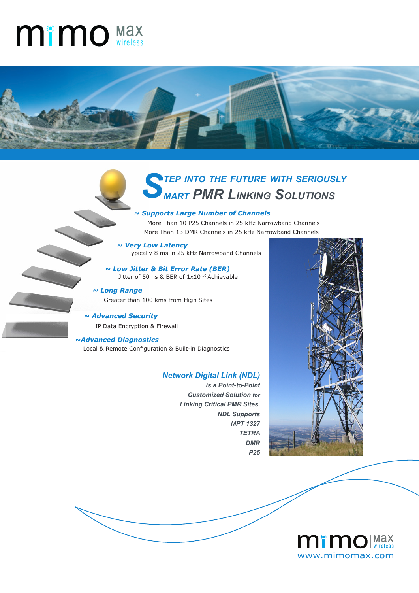## **Mimo** (Max



# *Step into the future with seriously mart PMR Linking Solutions*

#### *~ Supports Large Number of Channels*

 More Than 10 P25 Channels in 25 kHz Narrowband Channels More Than 13 DMR Channels in 25 kHz Narrowband Channels

*~ Very Low Latency* Typically 8 ms in 25 kHz Narrowband Channels

*~ Low Jitter & Bit Error Rate (BER)* Jitter of 50 ns & BER of 1x10<sup>-10</sup> Achievable

*~ Long Range* Greater than 100 kms from High Sites

*~ Advanced Security*  IP Data Encryption & Firewall

#### **~Advanced Diagnostics**

Local & Remote Configuration & Built-in Diagnostics

#### *Network Digital Link (NDL)*

*is a Point-to-Point Customized Solution for Linking Critical PMR Sites. NDL Supports MPT 1327 TETRA DMR P25*